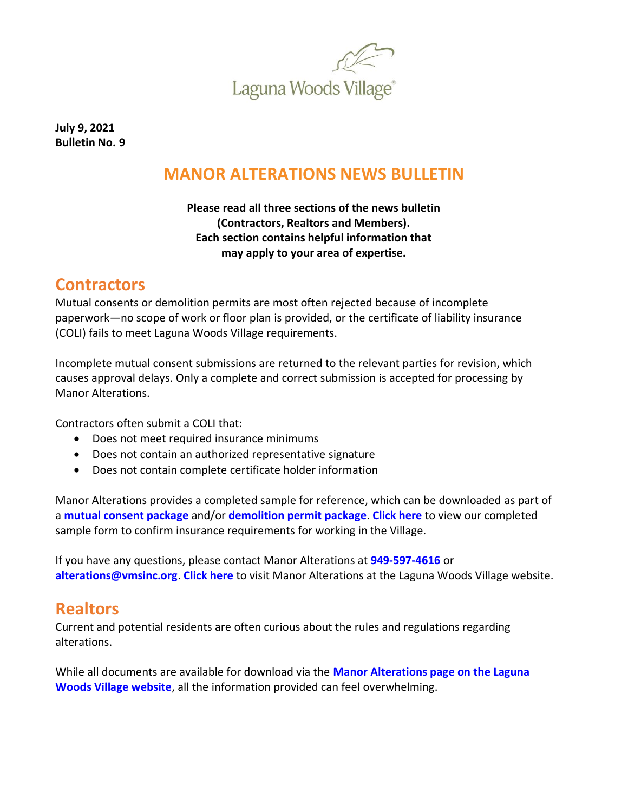

**July 9, 2021 Bulletin No. 9**

# **MANOR ALTERATIONS NEWS BULLETIN**

#### **Please read all three sections of the news bulletin (Contractors, Realtors and Members). Each section contains helpful information that may apply to your area of expertise.**

### **Contractors**

Mutual consents or demolition permits are most often rejected because of incomplete paperwork—no scope of work or floor plan is provided, or the certificate of liability insurance (COLI) fails to meet Laguna Woods Village requirements.

Incomplete mutual consent submissions are returned to the relevant parties for revision, which causes approval delays. Only a complete and correct submission is accepted for processing by Manor Alterations.

Contractors often submit a COLI that:

- Does not meet required insurance minimums
- Does not contain an authorized representative signature
- Does not contain complete certificate holder information

Manor Alterations provides a completed sample for reference, which can be downloaded as part of a **[mutual consent package](https://lagunawoodsvillage.com/documents/view/5482/Alteration-Document-Package.pdf?v=1618328437)** and/or **[demolition permit](https://lagunawoodsvillage.com/documents/view/5483/Demolition-Document-Package.pdf?v=1618328474) package**. **[Click here](https://lagunawoodsvillage.com/documents/view/5438/COLI%20Sample%20-%20500000.pdf?v=1619547031)** to view our completed sample form to confirm insurance requirements for working in the Village.

If you have any questions, please contact Manor Alterations at **[949-597-4616](tel:9495974616)** or **[alterations@vmsinc.org](mailto:alterations@vmsinc.org)**. **[Click here](https://www.lagunawoodsvillage.com/residents/resident-services#manor-alterations)** to visit Manor Alterations at the Laguna Woods Village website.

# **Realtors**

Current and potential residents are often curious about the rules and regulations regarding alterations.

While all documents are available for download via the **[Manor Alterations page on the Laguna](https://www.lagunawoodsvillage.com/residents/resident-services#manor-alterations)  [Woods Village website](https://www.lagunawoodsvillage.com/residents/resident-services#manor-alterations)**, all the information provided can feel overwhelming.